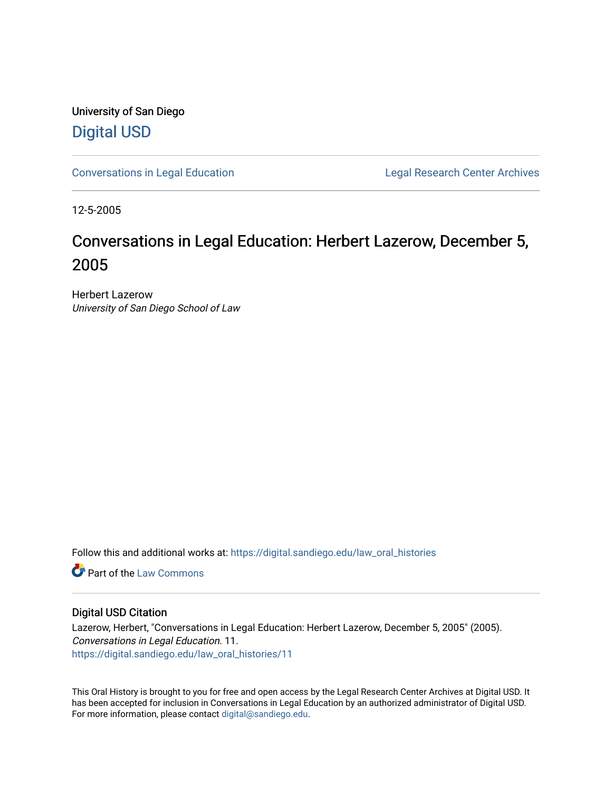University of San Diego [Digital USD](https://digital.sandiego.edu/)

[Conversations in Legal Education](https://digital.sandiego.edu/law_oral_histories) **Legal Research Center Archives** 

12-5-2005

## Conversations in Legal Education: Herbert Lazerow, December 5, 2005

Herbert Lazerow University of San Diego School of Law

Follow this and additional works at: [https://digital.sandiego.edu/law\\_oral\\_histories](https://digital.sandiego.edu/law_oral_histories?utm_source=digital.sandiego.edu%2Flaw_oral_histories%2F11&utm_medium=PDF&utm_campaign=PDFCoverPages) 

**C** Part of the [Law Commons](http://network.bepress.com/hgg/discipline/578?utm_source=digital.sandiego.edu%2Flaw_oral_histories%2F11&utm_medium=PDF&utm_campaign=PDFCoverPages)

#### Digital USD Citation

Lazerow, Herbert, "Conversations in Legal Education: Herbert Lazerow, December 5, 2005" (2005). Conversations in Legal Education. 11. [https://digital.sandiego.edu/law\\_oral\\_histories/11](https://digital.sandiego.edu/law_oral_histories/11?utm_source=digital.sandiego.edu%2Flaw_oral_histories%2F11&utm_medium=PDF&utm_campaign=PDFCoverPages) 

This Oral History is brought to you for free and open access by the Legal Research Center Archives at Digital USD. It has been accepted for inclusion in Conversations in Legal Education by an authorized administrator of Digital USD. For more information, please contact [digital@sandiego.edu](mailto:digital@sandiego.edu).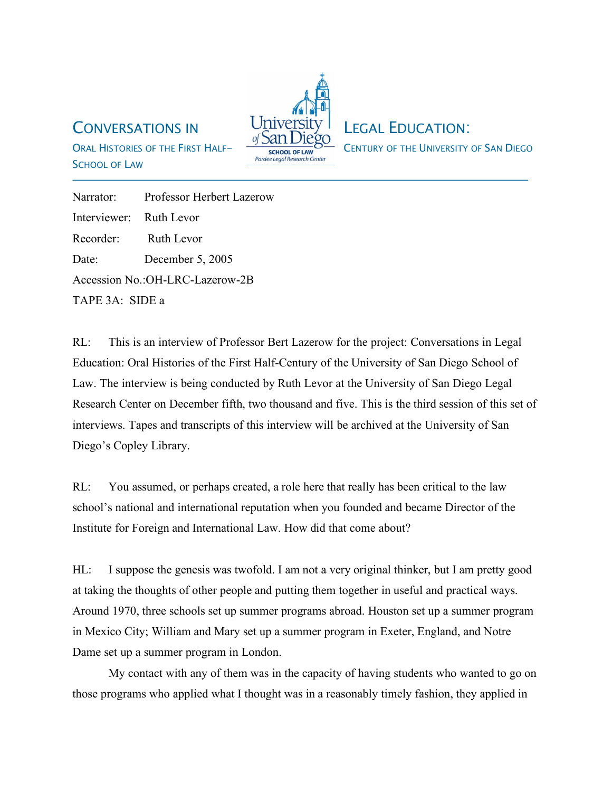# CONVERSATIONS IN University | LEGAL EDUCATION:

j



ORAL HISTORIES OF THE FIRST HALF- CENTURY OF THE UNIVERSITY OF SAN DIEGO SCHOOL OF LAW

Narrator: Professor Herbert Lazerow Interviewer: Ruth Levor Recorder: Ruth Levor Date: December 5, 2005 Accession No.:OH-LRC-Lazerow-2B TAPE 3A: SIDE a

RL: This is an interview of Professor Bert Lazerow for the project: Conversations in Legal Education: Oral Histories of the First Half-Century of the University of San Diego School of Law. The interview is being conducted by Ruth Levor at the University of San Diego Legal Research Center on December fifth, two thousand and five. This is the third session of this set of interviews. Tapes and transcripts of this interview will be archived at the University of San Diego's Copley Library.

RL: You assumed, or perhaps created, a role here that really has been critical to the law school's national and international reputation when you founded and became Director of the Institute for Foreign and International Law. How did that come about?

HL: I suppose the genesis was twofold. I am not a very original thinker, but I am pretty good at taking the thoughts of other people and putting them together in useful and practical ways. Around 1970, three schools set up summer programs abroad. Houston set up a summer program in Mexico City; William and Mary set up a summer program in Exeter, England, and Notre Dame set up a summer program in London.

My contact with any of them was in the capacity of having students who wanted to go on those programs who applied what I thought was in a reasonably timely fashion, they applied in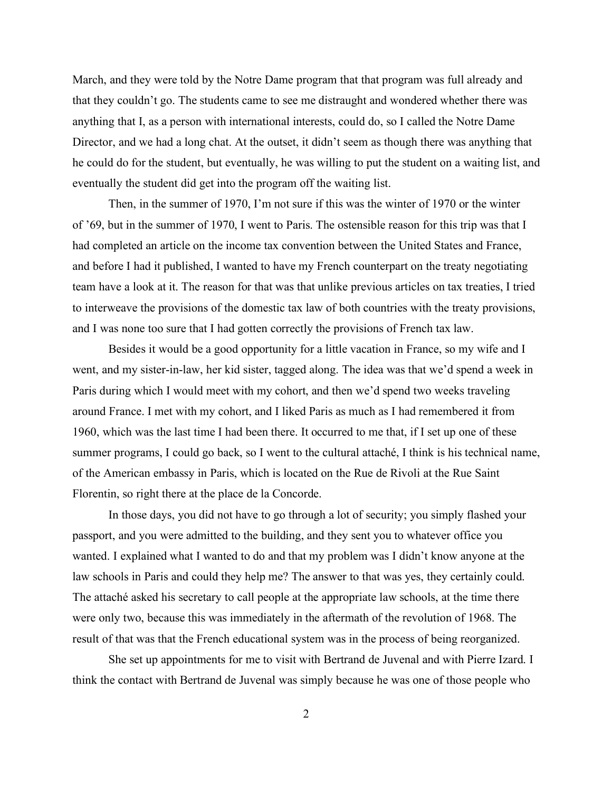March, and they were told by the Notre Dame program that that program was full already and that they couldn't go. The students came to see me distraught and wondered whether there was anything that I, as a person with international interests, could do, so I called the Notre Dame Director, and we had a long chat. At the outset, it didn't seem as though there was anything that he could do for the student, but eventually, he was willing to put the student on a waiting list, and eventually the student did get into the program off the waiting list.

Then, in the summer of 1970, I'm not sure if this was the winter of 1970 or the winter of '69, but in the summer of 1970, I went to Paris. The ostensible reason for this trip was that I had completed an article on the income tax convention between the United States and France, and before I had it published, I wanted to have my French counterpart on the treaty negotiating team have a look at it. The reason for that was that unlike previous articles on tax treaties, I tried to interweave the provisions of the domestic tax law of both countries with the treaty provisions, and I was none too sure that I had gotten correctly the provisions of French tax law.

Besides it would be a good opportunity for a little vacation in France, so my wife and I went, and my sister-in-law, her kid sister, tagged along. The idea was that we'd spend a week in Paris during which I would meet with my cohort, and then we'd spend two weeks traveling around France. I met with my cohort, and I liked Paris as much as I had remembered it from 1960, which was the last time I had been there. It occurred to me that, if I set up one of these summer programs, I could go back, so I went to the cultural attaché, I think is his technical name, of the American embassy in Paris, which is located on the Rue de Rivoli at the Rue Saint Florentin, so right there at the place de la Concorde.

In those days, you did not have to go through a lot of security; you simply flashed your passport, and you were admitted to the building, and they sent you to whatever office you wanted. I explained what I wanted to do and that my problem was I didn't know anyone at the law schools in Paris and could they help me? The answer to that was yes, they certainly could. The attaché asked his secretary to call people at the appropriate law schools, at the time there were only two, because this was immediately in the aftermath of the revolution of 1968. The result of that was that the French educational system was in the process of being reorganized.

She set up appointments for me to visit with Bertrand de Juvenal and with Pierre Izard. I think the contact with Bertrand de Juvenal was simply because he was one of those people who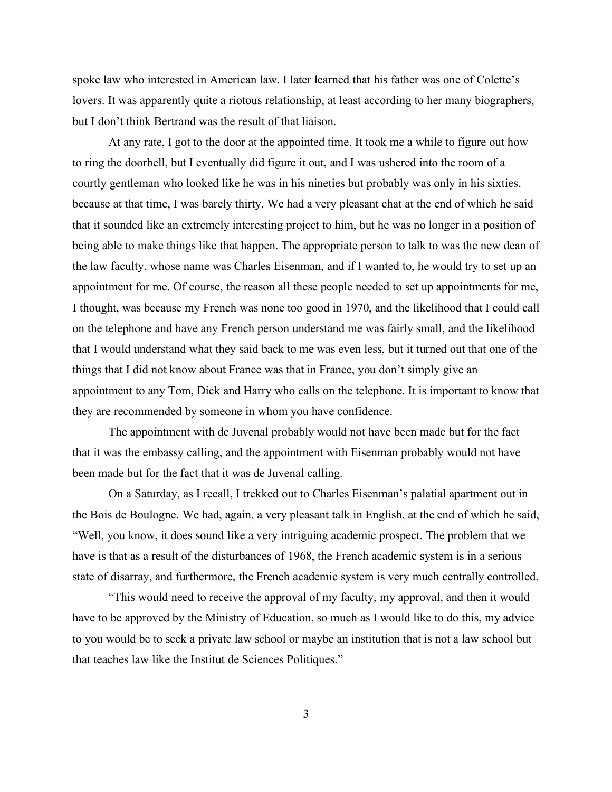spoke law who interested in American law. I later learned that his father was one of Colette's lovers. It was apparently quite a riotous relationship, at least according to her many biographers, but I don't think Bertrand was the result of that liaison.

At any rate, I got to the door at the appointed time. It took me a while to figure out how to ring the doorbell, but I eventually did figure it out, and I was ushered into the room of a courtly gentleman who looked like he was in his nineties but probably was only in his sixties, because at that time, I was barely thirty. We had a very pleasant chat at the end of which he said that it sounded like an extremely interesting project to him, but he was no longer in a position of being able to make things like that happen. The appropriate person to talk to was the new dean of the law faculty, whose name was Charles Eisenman, and if I wanted to, he would try to set up an appointment for me. Of course, the reason all these people needed to set up appointments for me, I thought, was because my French was none too good in 1970, and the likelihood that I could call on the telephone and have any French person understand me was fairly small, and the likelihood that I would understand what they said back to me was even less, but it turned out that one of the things that I did not know about France was that in France, you don't simply give an appointment to any Tom, Dick and Harry who calls on the telephone. It is important to know that they are recommended by someone in whom you have confidence.

The appointment with de Juvenal probably would not have been made but for the fact that it was the embassy calling, and the appointment with Eisenman probably would not have been made but for the fact that it was de Juvenal calling.

On a Saturday, as I recall, I trekked out to Charles Eisenman's palatial apartment out in the Bois de Boulogne. We had, again, a very pleasant talk in English, at the end of which he said, "Well, you know, it does sound like a very intriguing academic prospect. The problem that we have is that as a result of the disturbances of 1968, the French academic system is in a serious state of disarray, and furthermore, the French academic system is very much centrally controlled.

"This would need to receive the approval of my faculty, my approval, and then it would have to be approved by the Ministry of Education, so much as I would like to do this, my advice to you would be to seek a private law school or maybe an institution that is not a law school but that teaches law like the Institut de Sciences Politiques."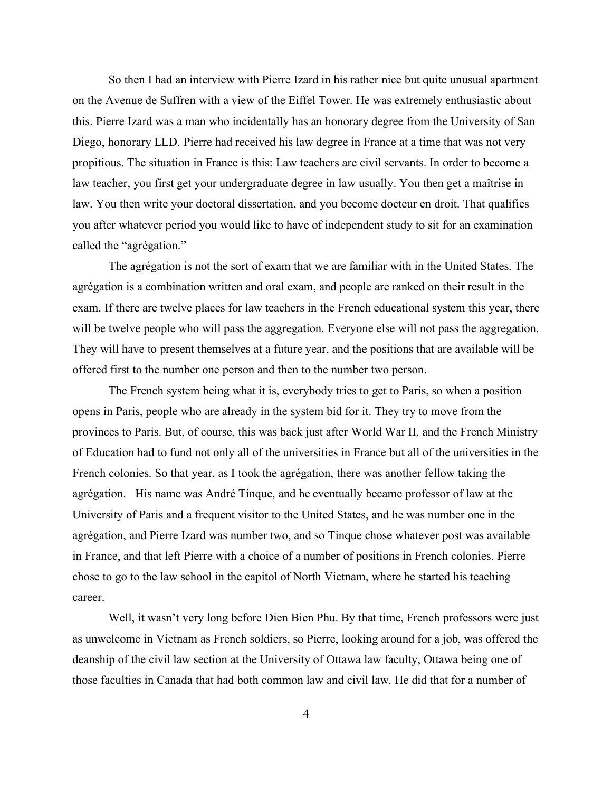So then I had an interview with Pierre Izard in his rather nice but quite unusual apartment on the Avenue de Suffren with a view of the Eiffel Tower. He was extremely enthusiastic about this. Pierre Izard was a man who incidentally has an honorary degree from the University of San Diego, honorary LLD. Pierre had received his law degree in France at a time that was not very propitious. The situation in France is this: Law teachers are civil servants. In order to become a law teacher, you first get your undergraduate degree in law usually. You then get a maîtrise in law. You then write your doctoral dissertation, and you become docteur en droit. That qualifies you after whatever period you would like to have of independent study to sit for an examination called the "agrégation."

The agrégation is not the sort of exam that we are familiar with in the United States. The agrégation is a combination written and oral exam, and people are ranked on their result in the exam. If there are twelve places for law teachers in the French educational system this year, there will be twelve people who will pass the aggregation. Everyone else will not pass the aggregation. They will have to present themselves at a future year, and the positions that are available will be offered first to the number one person and then to the number two person.

The French system being what it is, everybody tries to get to Paris, so when a position opens in Paris, people who are already in the system bid for it. They try to move from the provinces to Paris. But, of course, this was back just after World War II, and the French Ministry of Education had to fund not only all of the universities in France but all of the universities in the French colonies. So that year, as I took the agrégation, there was another fellow taking the agrégation. His name was André Tinque, and he eventually became professor of law at the University of Paris and a frequent visitor to the United States, and he was number one in the agrégation, and Pierre Izard was number two, and so Tinque chose whatever post was available in France, and that left Pierre with a choice of a number of positions in French colonies. Pierre chose to go to the law school in the capitol of North Vietnam, where he started his teaching career.

Well, it wasn't very long before Dien Bien Phu. By that time, French professors were just as unwelcome in Vietnam as French soldiers, so Pierre, looking around for a job, was offered the deanship of the civil law section at the University of Ottawa law faculty, Ottawa being one of those faculties in Canada that had both common law and civil law. He did that for a number of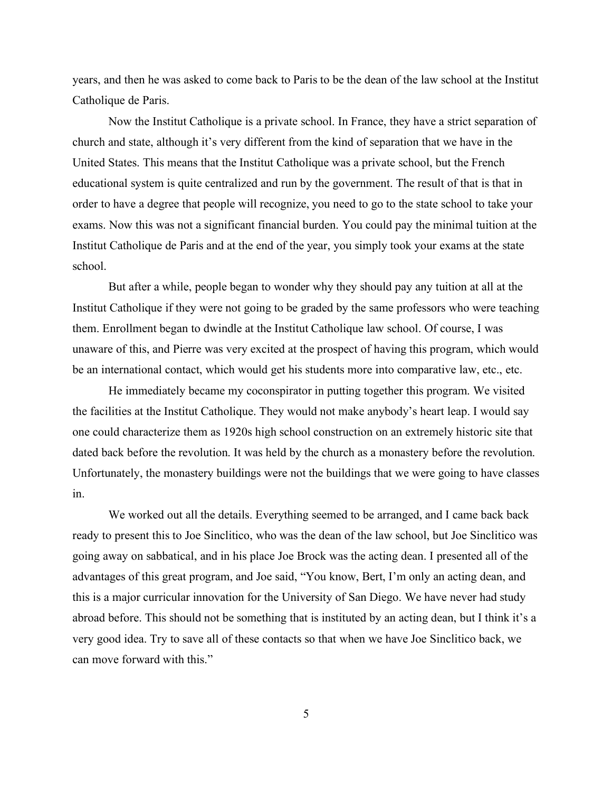years, and then he was asked to come back to Paris to be the dean of the law school at the Institut Catholique de Paris.

Now the Institut Catholique is a private school. In France, they have a strict separation of church and state, although it's very different from the kind of separation that we have in the United States. This means that the Institut Catholique was a private school, but the French educational system is quite centralized and run by the government. The result of that is that in order to have a degree that people will recognize, you need to go to the state school to take your exams. Now this was not a significant financial burden. You could pay the minimal tuition at the Institut Catholique de Paris and at the end of the year, you simply took your exams at the state school.

But after a while, people began to wonder why they should pay any tuition at all at the Institut Catholique if they were not going to be graded by the same professors who were teaching them. Enrollment began to dwindle at the Institut Catholique law school. Of course, I was unaware of this, and Pierre was very excited at the prospect of having this program, which would be an international contact, which would get his students more into comparative law, etc., etc.

He immediately became my coconspirator in putting together this program. We visited the facilities at the Institut Catholique. They would not make anybody's heart leap. I would say one could characterize them as 1920s high school construction on an extremely historic site that dated back before the revolution. It was held by the church as a monastery before the revolution. Unfortunately, the monastery buildings were not the buildings that we were going to have classes in.

We worked out all the details. Everything seemed to be arranged, and I came back back ready to present this to Joe Sinclitico, who was the dean of the law school, but Joe Sinclitico was going away on sabbatical, and in his place Joe Brock was the acting dean. I presented all of the advantages of this great program, and Joe said, "You know, Bert, I'm only an acting dean, and this is a major curricular innovation for the University of San Diego. We have never had study abroad before. This should not be something that is instituted by an acting dean, but I think it's a very good idea. Try to save all of these contacts so that when we have Joe Sinclitico back, we can move forward with this."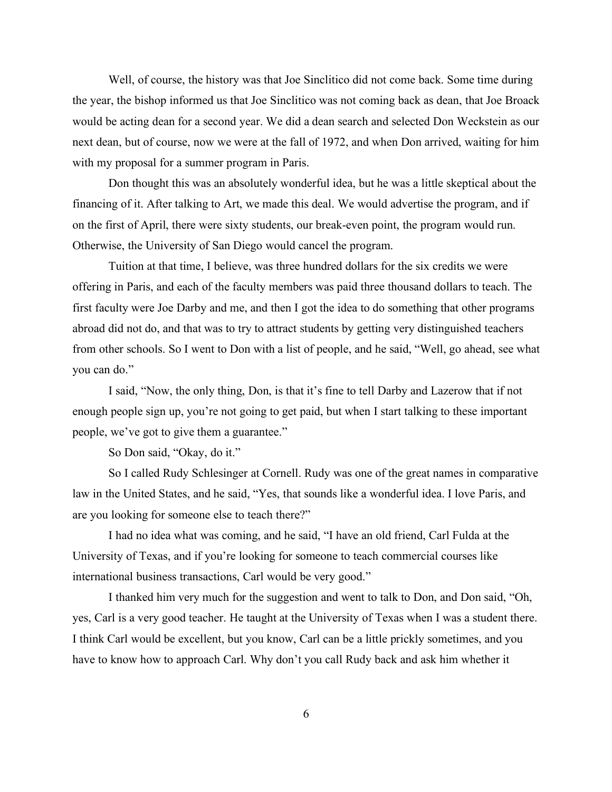Well, of course, the history was that Joe Sinclitico did not come back. Some time during the year, the bishop informed us that Joe Sinclitico was not coming back as dean, that Joe Broack would be acting dean for a second year. We did a dean search and selected Don Weckstein as our next dean, but of course, now we were at the fall of 1972, and when Don arrived, waiting for him with my proposal for a summer program in Paris.

Don thought this was an absolutely wonderful idea, but he was a little skeptical about the financing of it. After talking to Art, we made this deal. We would advertise the program, and if on the first of April, there were sixty students, our break-even point, the program would run. Otherwise, the University of San Diego would cancel the program.

Tuition at that time, I believe, was three hundred dollars for the six credits we were offering in Paris, and each of the faculty members was paid three thousand dollars to teach. The first faculty were Joe Darby and me, and then I got the idea to do something that other programs abroad did not do, and that was to try to attract students by getting very distinguished teachers from other schools. So I went to Don with a list of people, and he said, "Well, go ahead, see what you can do."

I said, "Now, the only thing, Don, is that it's fine to tell Darby and Lazerow that if not enough people sign up, you're not going to get paid, but when I start talking to these important people, we've got to give them a guarantee."

So Don said, "Okay, do it."

So I called Rudy Schlesinger at Cornell. Rudy was one of the great names in comparative law in the United States, and he said, "Yes, that sounds like a wonderful idea. I love Paris, and are you looking for someone else to teach there?"

I had no idea what was coming, and he said, "I have an old friend, Carl Fulda at the University of Texas, and if you're looking for someone to teach commercial courses like international business transactions, Carl would be very good."

I thanked him very much for the suggestion and went to talk to Don, and Don said, "Oh, yes, Carl is a very good teacher. He taught at the University of Texas when I was a student there. I think Carl would be excellent, but you know, Carl can be a little prickly sometimes, and you have to know how to approach Carl. Why don't you call Rudy back and ask him whether it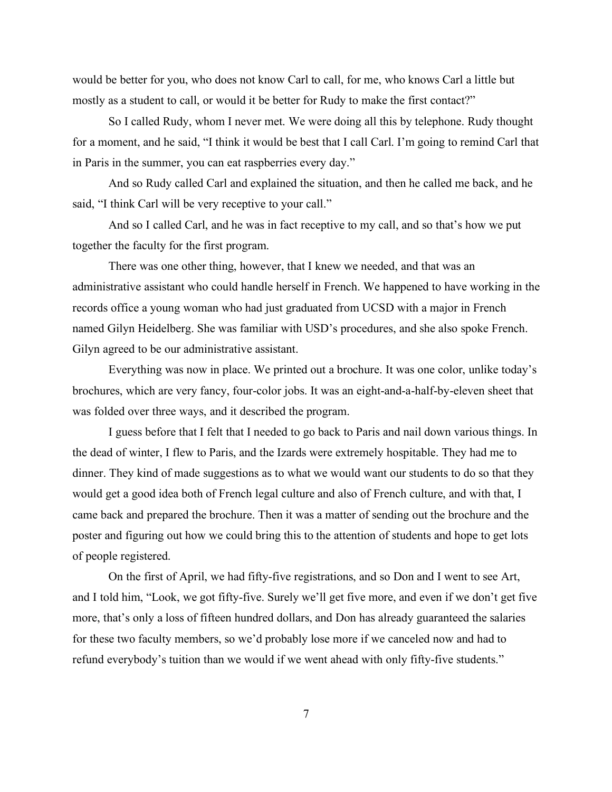would be better for you, who does not know Carl to call, for me, who knows Carl a little but mostly as a student to call, or would it be better for Rudy to make the first contact?"

So I called Rudy, whom I never met. We were doing all this by telephone. Rudy thought for a moment, and he said, "I think it would be best that I call Carl. I'm going to remind Carl that in Paris in the summer, you can eat raspberries every day."

And so Rudy called Carl and explained the situation, and then he called me back, and he said, "I think Carl will be very receptive to your call."

And so I called Carl, and he was in fact receptive to my call, and so that's how we put together the faculty for the first program.

There was one other thing, however, that I knew we needed, and that was an administrative assistant who could handle herself in French. We happened to have working in the records office a young woman who had just graduated from UCSD with a major in French named Gilyn Heidelberg. She was familiar with USD's procedures, and she also spoke French. Gilyn agreed to be our administrative assistant.

Everything was now in place. We printed out a brochure. It was one color, unlike today's brochures, which are very fancy, four-color jobs. It was an eight-and-a-half-by-eleven sheet that was folded over three ways, and it described the program.

I guess before that I felt that I needed to go back to Paris and nail down various things. In the dead of winter, I flew to Paris, and the Izards were extremely hospitable. They had me to dinner. They kind of made suggestions as to what we would want our students to do so that they would get a good idea both of French legal culture and also of French culture, and with that, I came back and prepared the brochure. Then it was a matter of sending out the brochure and the poster and figuring out how we could bring this to the attention of students and hope to get lots of people registered.

On the first of April, we had fifty-five registrations, and so Don and I went to see Art, and I told him, "Look, we got fifty-five. Surely we'll get five more, and even if we don't get five more, that's only a loss of fifteen hundred dollars, and Don has already guaranteed the salaries for these two faculty members, so we'd probably lose more if we canceled now and had to refund everybody's tuition than we would if we went ahead with only fifty-five students."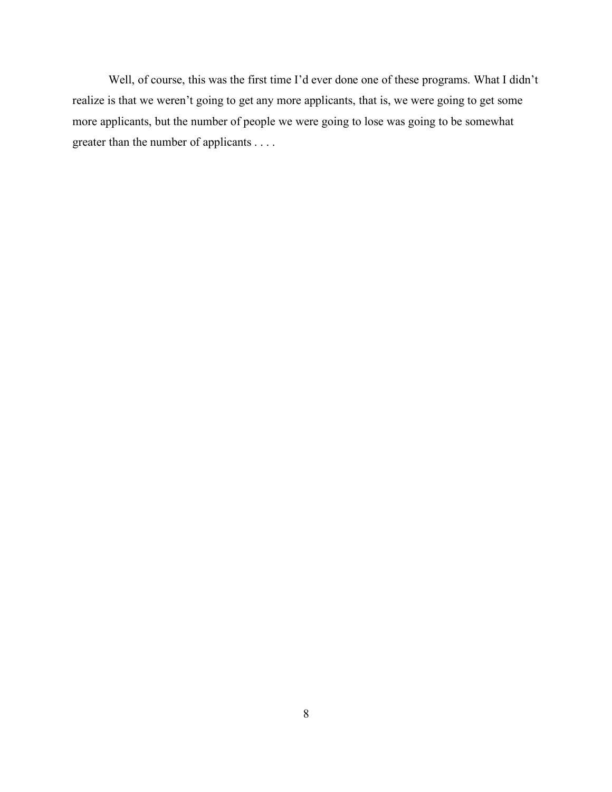Well, of course, this was the first time I'd ever done one of these programs. What I didn't realize is that we weren't going to get any more applicants, that is, we were going to get some more applicants, but the number of people we were going to lose was going to be somewhat greater than the number of applicants . . . .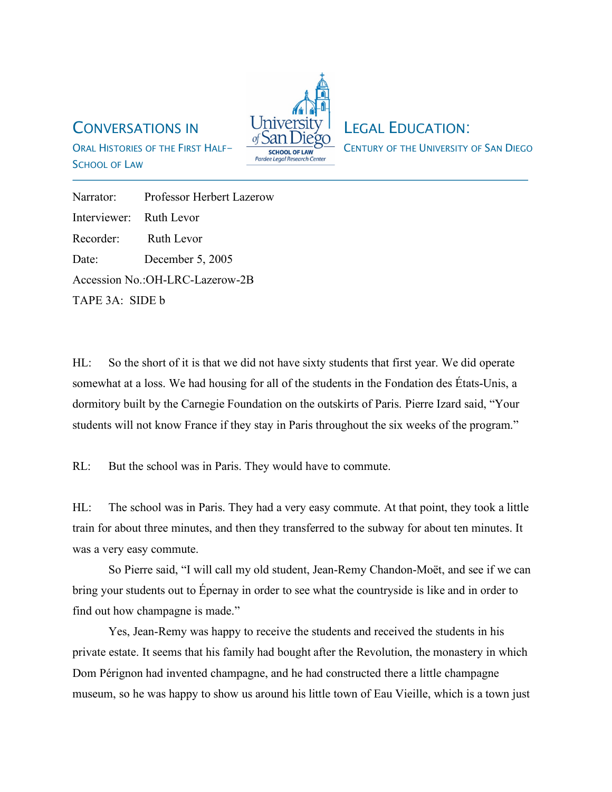j

SCHOOL OF LAW



ORAL HISTORIES OF THE FIRST HALF- CENTURY OF THE UNIVERSITY OF SAN DIEGO

Narrator: Professor Herbert Lazerow Interviewer: Ruth Levor Recorder: Ruth Levor Date: December 5, 2005 Accession No.:OH-LRC-Lazerow-2B TAPE 3A: SIDE b

HL: So the short of it is that we did not have sixty students that first year. We did operate somewhat at a loss. We had housing for all of the students in the Fondation des États-Unis, a dormitory built by the Carnegie Foundation on the outskirts of Paris. Pierre Izard said, "Your students will not know France if they stay in Paris throughout the six weeks of the program."

RL: But the school was in Paris. They would have to commute.

HL: The school was in Paris. They had a very easy commute. At that point, they took a little train for about three minutes, and then they transferred to the subway for about ten minutes. It was a very easy commute.

So Pierre said, "I will call my old student, Jean-Remy Chandon-Moët, and see if we can bring your students out to Épernay in order to see what the countryside is like and in order to find out how champagne is made."

Yes, Jean-Remy was happy to receive the students and received the students in his private estate. It seems that his family had bought after the Revolution, the monastery in which Dom Pérignon had invented champagne, and he had constructed there a little champagne museum, so he was happy to show us around his little town of Eau Vieille, which is a town just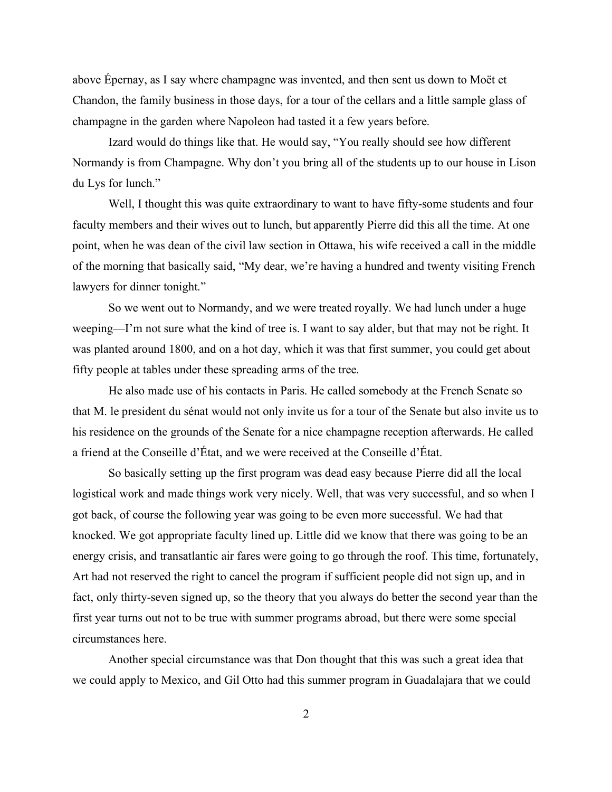above Épernay, as I say where champagne was invented, and then sent us down to Moët et Chandon, the family business in those days, for a tour of the cellars and a little sample glass of champagne in the garden where Napoleon had tasted it a few years before.

Izard would do things like that. He would say, "You really should see how different Normandy is from Champagne. Why don't you bring all of the students up to our house in Lison du Lys for lunch."

Well, I thought this was quite extraordinary to want to have fifty-some students and four faculty members and their wives out to lunch, but apparently Pierre did this all the time. At one point, when he was dean of the civil law section in Ottawa, his wife received a call in the middle of the morning that basically said, "My dear, we're having a hundred and twenty visiting French lawyers for dinner tonight."

So we went out to Normandy, and we were treated royally. We had lunch under a huge weeping—I'm not sure what the kind of tree is. I want to say alder, but that may not be right. It was planted around 1800, and on a hot day, which it was that first summer, you could get about fifty people at tables under these spreading arms of the tree.

He also made use of his contacts in Paris. He called somebody at the French Senate so that M. le president du sénat would not only invite us for a tour of the Senate but also invite us to his residence on the grounds of the Senate for a nice champagne reception afterwards. He called a friend at the Conseille d'État, and we were received at the Conseille d'État.

So basically setting up the first program was dead easy because Pierre did all the local logistical work and made things work very nicely. Well, that was very successful, and so when I got back, of course the following year was going to be even more successful. We had that knocked. We got appropriate faculty lined up. Little did we know that there was going to be an energy crisis, and transatlantic air fares were going to go through the roof. This time, fortunately, Art had not reserved the right to cancel the program if sufficient people did not sign up, and in fact, only thirty-seven signed up, so the theory that you always do better the second year than the first year turns out not to be true with summer programs abroad, but there were some special circumstances here.

Another special circumstance was that Don thought that this was such a great idea that we could apply to Mexico, and Gil Otto had this summer program in Guadalajara that we could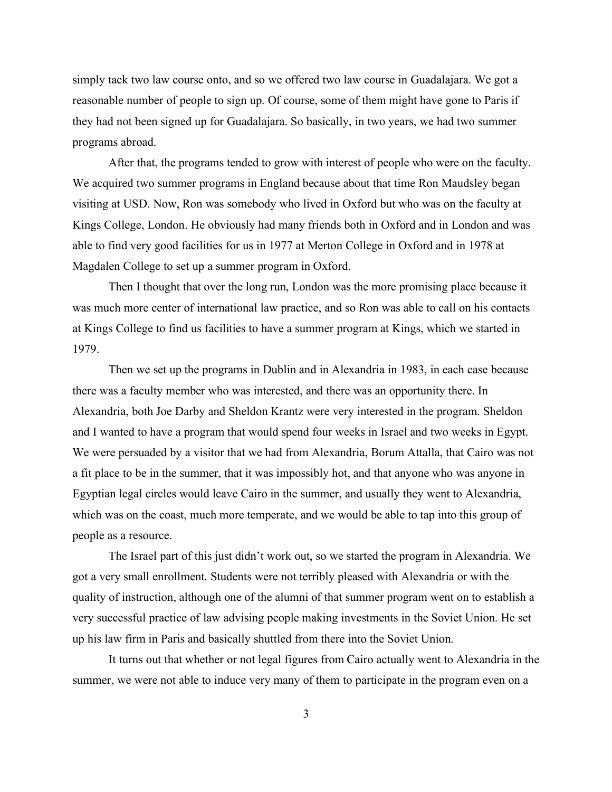simply tack two law course onto, and so we offered two law course in Guadalajara. We got a reasonable number of people to sign up. Of course, some of them might have gone to Paris if they had not been signed up for Guadalajara. So basically, in two years, we had two summer programs abroad.

After that, the programs tended to grow with interest of people who were on the faculty. We acquired two summer programs in England because about that time Ron Maudsley began visiting at USD. Now, Ron was somebody who lived in Oxford but who was on the faculty at Kings College, London. He obviously had many friends both in Oxford and in London and was able to find very good facilities for us in 1977 at Merton College in Oxford and in 1978 at Magdalen College to set up a summer program in Oxford.

Then I thought that over the long run, London was the more promising place because it was much more center of international law practice, and so Ron was able to call on his contacts at Kings College to find us facilities to have a summer program at Kings, which we started in 1979.

Then we set up the programs in Dublin and in Alexandria in 1983, in each case because there was a faculty member who was interested, and there was an opportunity there. In Alexandria, both Joe Darby and Sheldon Krantz were very interested in the program. Sheldon and I wanted to have a program that would spend four weeks in Israel and two weeks in Egypt. We were persuaded by a visitor that we had from Alexandria, Borum Attalla, that Cairo was not a fit place to be in the summer, that it was impossibly hot, and that anyone who was anyone in Egyptian legal circles would leave Cairo in the summer, and usually they went to Alexandria, which was on the coast, much more temperate, and we would be able to tap into this group of people as a resource.

The Israel part of this just didn't work out, so we started the program in Alexandria. We got a very small enrollment. Students were not terribly pleased with Alexandria or with the quality of instruction, although one of the alumni of that summer program went on to establish a very successful practice of law advising people making investments in the Soviet Union. He set up his law firm in Paris and basically shuttled from there into the Soviet Union.

It turns out that whether or not legal figures from Cairo actually went to Alexandria in the summer, we were not able to induce very many of them to participate in the program even on a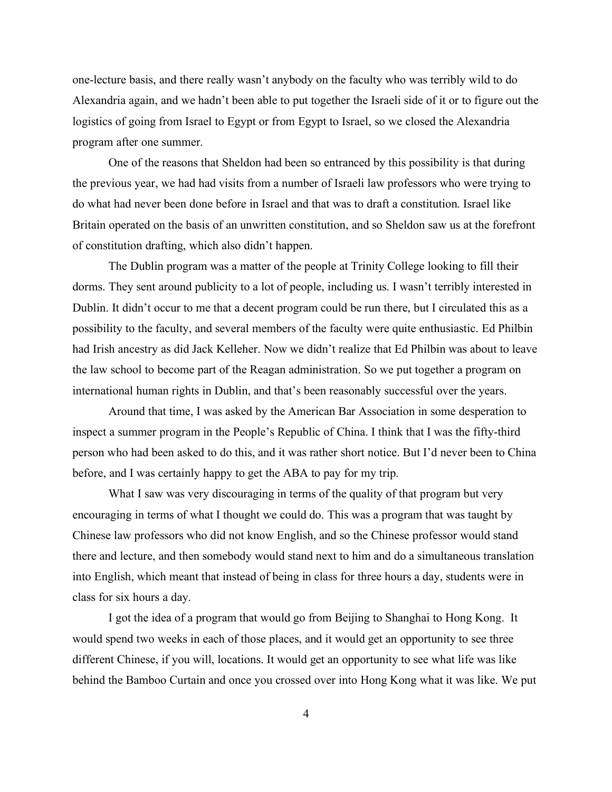one-lecture basis, and there really wasn't anybody on the faculty who was terribly wild to do Alexandria again, and we hadn't been able to put together the Israeli side of it or to figure out the logistics of going from Israel to Egypt or from Egypt to Israel, so we closed the Alexandria program after one summer.

One of the reasons that Sheldon had been so entranced by this possibility is that during the previous year, we had had visits from a number of Israeli law professors who were trying to do what had never been done before in Israel and that was to draft a constitution. Israel like Britain operated on the basis of an unwritten constitution, and so Sheldon saw us at the forefront of constitution drafting, which also didn't happen.

The Dublin program was a matter of the people at Trinity College looking to fill their dorms. They sent around publicity to a lot of people, including us. I wasn't terribly interested in Dublin. It didn't occur to me that a decent program could be run there, but I circulated this as a possibility to the faculty, and several members of the faculty were quite enthusiastic. Ed Philbin had Irish ancestry as did Jack Kelleher. Now we didn't realize that Ed Philbin was about to leave the law school to become part of the Reagan administration. So we put together a program on international human rights in Dublin, and that's been reasonably successful over the years.

Around that time, I was asked by the American Bar Association in some desperation to inspect a summer program in the People's Republic of China. I think that I was the fifty-third person who had been asked to do this, and it was rather short notice. But I'd never been to China before, and I was certainly happy to get the ABA to pay for my trip.

What I saw was very discouraging in terms of the quality of that program but very encouraging in terms of what I thought we could do. This was a program that was taught by Chinese law professors who did not know English, and so the Chinese professor would stand there and lecture, and then somebody would stand next to him and do a simultaneous translation into English, which meant that instead of being in class for three hours a day, students were in class for six hours a day.

I got the idea of a program that would go from Beijing to Shanghai to Hong Kong. It would spend two weeks in each of those places, and it would get an opportunity to see three different Chinese, if you will, locations. It would get an opportunity to see what life was like behind the Bamboo Curtain and once you crossed over into Hong Kong what it was like. We put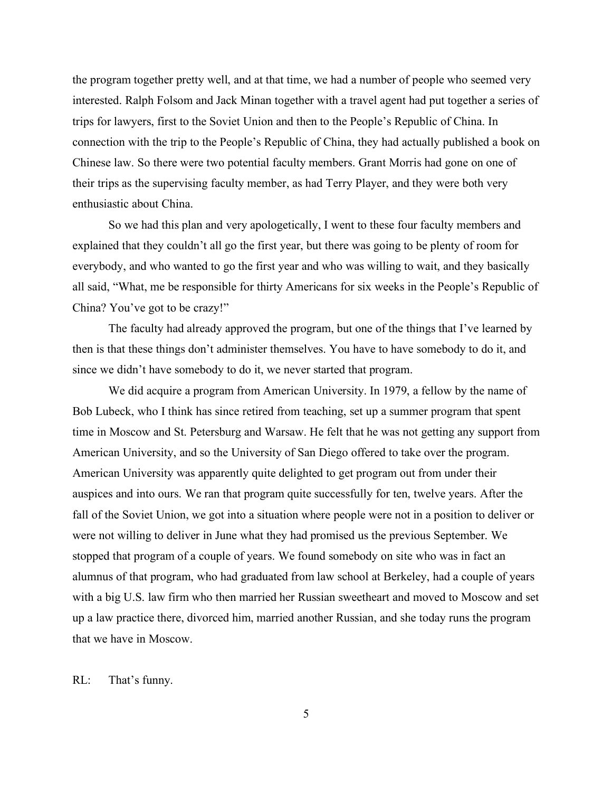the program together pretty well, and at that time, we had a number of people who seemed very interested. Ralph Folsom and Jack Minan together with a travel agent had put together a series of trips for lawyers, first to the Soviet Union and then to the People's Republic of China. In connection with the trip to the People's Republic of China, they had actually published a book on Chinese law. So there were two potential faculty members. Grant Morris had gone on one of their trips as the supervising faculty member, as had Terry Player, and they were both very enthusiastic about China.

So we had this plan and very apologetically, I went to these four faculty members and explained that they couldn't all go the first year, but there was going to be plenty of room for everybody, and who wanted to go the first year and who was willing to wait, and they basically all said, "What, me be responsible for thirty Americans for six weeks in the People's Republic of China? You've got to be crazy!"

The faculty had already approved the program, but one of the things that I've learned by then is that these things don't administer themselves. You have to have somebody to do it, and since we didn't have somebody to do it, we never started that program.

We did acquire a program from American University. In 1979, a fellow by the name of Bob Lubeck, who I think has since retired from teaching, set up a summer program that spent time in Moscow and St. Petersburg and Warsaw. He felt that he was not getting any support from American University, and so the University of San Diego offered to take over the program. American University was apparently quite delighted to get program out from under their auspices and into ours. We ran that program quite successfully for ten, twelve years. After the fall of the Soviet Union, we got into a situation where people were not in a position to deliver or were not willing to deliver in June what they had promised us the previous September. We stopped that program of a couple of years. We found somebody on site who was in fact an alumnus of that program, who had graduated from law school at Berkeley, had a couple of years with a big U.S. law firm who then married her Russian sweetheart and moved to Moscow and set up a law practice there, divorced him, married another Russian, and she today runs the program that we have in Moscow.

RL: That's funny.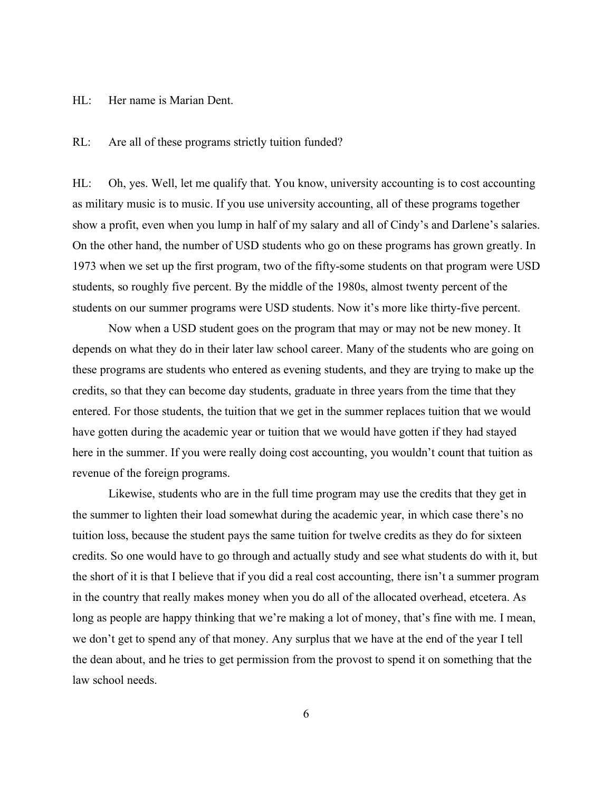#### HL: Her name is Marian Dent.

#### RL: Are all of these programs strictly tuition funded?

HL: Oh, yes. Well, let me qualify that. You know, university accounting is to cost accounting as military music is to music. If you use university accounting, all of these programs together show a profit, even when you lump in half of my salary and all of Cindy's and Darlene's salaries. On the other hand, the number of USD students who go on these programs has grown greatly. In 1973 when we set up the first program, two of the fifty-some students on that program were USD students, so roughly five percent. By the middle of the 1980s, almost twenty percent of the students on our summer programs were USD students. Now it's more like thirty-five percent.

Now when a USD student goes on the program that may or may not be new money. It depends on what they do in their later law school career. Many of the students who are going on these programs are students who entered as evening students, and they are trying to make up the credits, so that they can become day students, graduate in three years from the time that they entered. For those students, the tuition that we get in the summer replaces tuition that we would have gotten during the academic year or tuition that we would have gotten if they had stayed here in the summer. If you were really doing cost accounting, you wouldn't count that tuition as revenue of the foreign programs.

Likewise, students who are in the full time program may use the credits that they get in the summer to lighten their load somewhat during the academic year, in which case there's no tuition loss, because the student pays the same tuition for twelve credits as they do for sixteen credits. So one would have to go through and actually study and see what students do with it, but the short of it is that I believe that if you did a real cost accounting, there isn't a summer program in the country that really makes money when you do all of the allocated overhead, etcetera. As long as people are happy thinking that we're making a lot of money, that's fine with me. I mean, we don't get to spend any of that money. Any surplus that we have at the end of the year I tell the dean about, and he tries to get permission from the provost to spend it on something that the law school needs.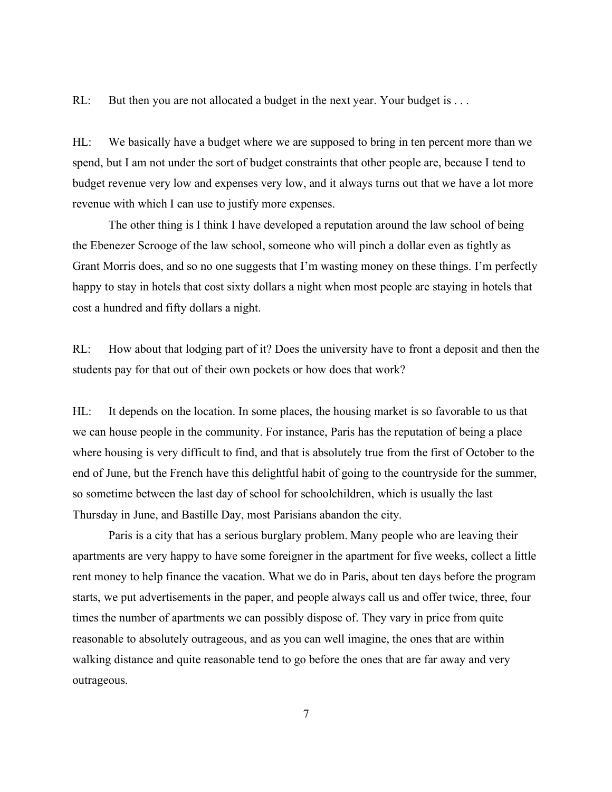RL: But then you are not allocated a budget in the next year. Your budget is . . .

HL: We basically have a budget where we are supposed to bring in ten percent more than we spend, but I am not under the sort of budget constraints that other people are, because I tend to budget revenue very low and expenses very low, and it always turns out that we have a lot more revenue with which I can use to justify more expenses.

The other thing is I think I have developed a reputation around the law school of being the Ebenezer Scrooge of the law school, someone who will pinch a dollar even as tightly as Grant Morris does, and so no one suggests that I'm wasting money on these things. I'm perfectly happy to stay in hotels that cost sixty dollars a night when most people are staying in hotels that cost a hundred and fifty dollars a night.

RL: How about that lodging part of it? Does the university have to front a deposit and then the students pay for that out of their own pockets or how does that work?

HL: It depends on the location. In some places, the housing market is so favorable to us that we can house people in the community. For instance, Paris has the reputation of being a place where housing is very difficult to find, and that is absolutely true from the first of October to the end of June, but the French have this delightful habit of going to the countryside for the summer, so sometime between the last day of school for schoolchildren, which is usually the last Thursday in June, and Bastille Day, most Parisians abandon the city.

Paris is a city that has a serious burglary problem. Many people who are leaving their apartments are very happy to have some foreigner in the apartment for five weeks, collect a little rent money to help finance the vacation. What we do in Paris, about ten days before the program starts, we put advertisements in the paper, and people always call us and offer twice, three, four times the number of apartments we can possibly dispose of. They vary in price from quite reasonable to absolutely outrageous, and as you can well imagine, the ones that are within walking distance and quite reasonable tend to go before the ones that are far away and very outrageous.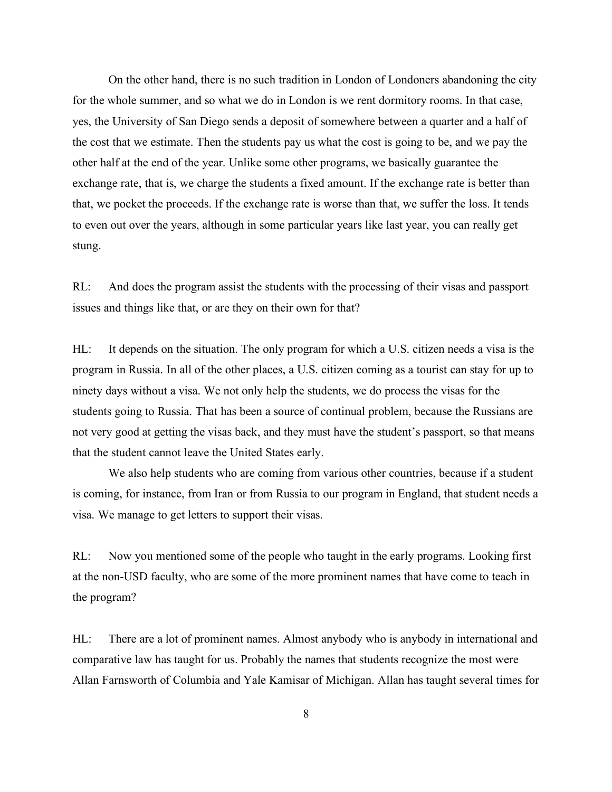On the other hand, there is no such tradition in London of Londoners abandoning the city for the whole summer, and so what we do in London is we rent dormitory rooms. In that case, yes, the University of San Diego sends a deposit of somewhere between a quarter and a half of the cost that we estimate. Then the students pay us what the cost is going to be, and we pay the other half at the end of the year. Unlike some other programs, we basically guarantee the exchange rate, that is, we charge the students a fixed amount. If the exchange rate is better than that, we pocket the proceeds. If the exchange rate is worse than that, we suffer the loss. It tends to even out over the years, although in some particular years like last year, you can really get stung.

RL: And does the program assist the students with the processing of their visas and passport issues and things like that, or are they on their own for that?

HL: It depends on the situation. The only program for which a U.S. citizen needs a visa is the program in Russia. In all of the other places, a U.S. citizen coming as a tourist can stay for up to ninety days without a visa. We not only help the students, we do process the visas for the students going to Russia. That has been a source of continual problem, because the Russians are not very good at getting the visas back, and they must have the student's passport, so that means that the student cannot leave the United States early.

We also help students who are coming from various other countries, because if a student is coming, for instance, from Iran or from Russia to our program in England, that student needs a visa. We manage to get letters to support their visas.

RL: Now you mentioned some of the people who taught in the early programs. Looking first at the non-USD faculty, who are some of the more prominent names that have come to teach in the program?

HL: There are a lot of prominent names. Almost anybody who is anybody in international and comparative law has taught for us. Probably the names that students recognize the most were Allan Farnsworth of Columbia and Yale Kamisar of Michigan. Allan has taught several times for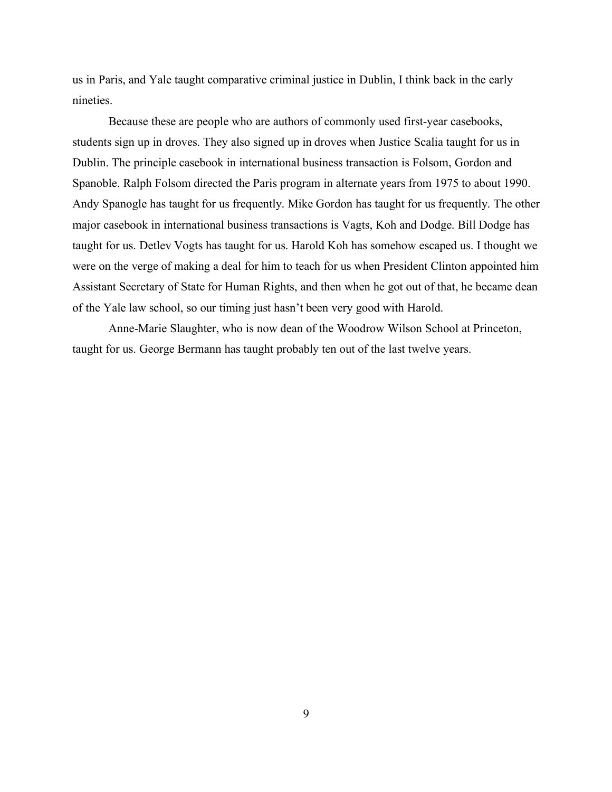us in Paris, and Yale taught comparative criminal justice in Dublin, I think back in the early nineties.

Because these are people who are authors of commonly used first-year casebooks, students sign up in droves. They also signed up in droves when Justice Scalia taught for us in Dublin. The principle casebook in international business transaction is Folsom, Gordon and Spanoble. Ralph Folsom directed the Paris program in alternate years from 1975 to about 1990. Andy Spanogle has taught for us frequently. Mike Gordon has taught for us frequently. The other major casebook in international business transactions is Vagts, Koh and Dodge. Bill Dodge has taught for us. Detlev Vogts has taught for us. Harold Koh has somehow escaped us. I thought we were on the verge of making a deal for him to teach for us when President Clinton appointed him Assistant Secretary of State for Human Rights, and then when he got out of that, he became dean of the Yale law school, so our timing just hasn't been very good with Harold.

Anne-Marie Slaughter, who is now dean of the Woodrow Wilson School at Princeton, taught for us. George Bermann has taught probably ten out of the last twelve years.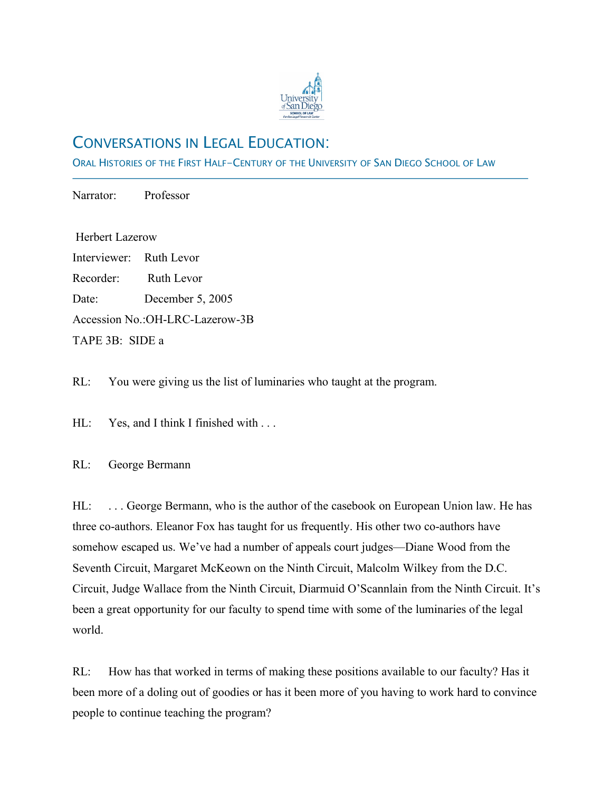

## CONVERSATIONS IN LEGAL EDUCATION:

ORAL HISTORIES OF THE FIRST HALF-CENTURY OF THE UNIVERSITY OF SAN DIEGO SCHOOL OF LAW

Narrator: Professor

<sup>-</sup>

Herbert Lazerow Interviewer: Ruth Levor Recorder: Ruth Levor Date: December 5, 2005 Accession No.:OH-LRC-Lazerow-3B TAPE 3B: SIDE a

RL: You were giving us the list of luminaries who taught at the program.

HL: Yes, and I think I finished with ...

RL: George Bermann

HL: ... George Bermann, who is the author of the casebook on European Union law. He has three co-authors. Eleanor Fox has taught for us frequently. His other two co-authors have somehow escaped us. We've had a number of appeals court judges—Diane Wood from the Seventh Circuit, Margaret McKeown on the Ninth Circuit, Malcolm Wilkey from the D.C. Circuit, Judge Wallace from the Ninth Circuit, Diarmuid O'Scannlain from the Ninth Circuit. It's been a great opportunity for our faculty to spend time with some of the luminaries of the legal world.

RL: How has that worked in terms of making these positions available to our faculty? Has it been more of a doling out of goodies or has it been more of you having to work hard to convince people to continue teaching the program?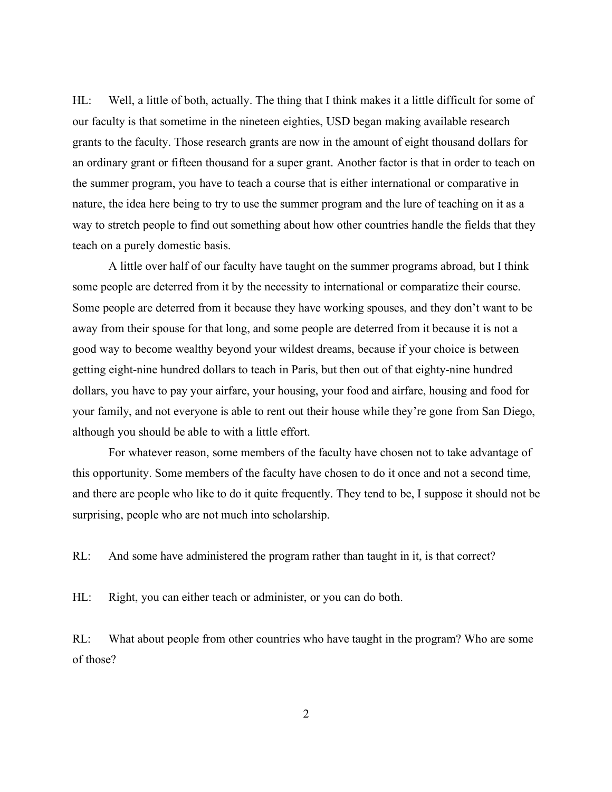HL: Well, a little of both, actually. The thing that I think makes it a little difficult for some of our faculty is that sometime in the nineteen eighties, USD began making available research grants to the faculty. Those research grants are now in the amount of eight thousand dollars for an ordinary grant or fifteen thousand for a super grant. Another factor is that in order to teach on the summer program, you have to teach a course that is either international or comparative in nature, the idea here being to try to use the summer program and the lure of teaching on it as a way to stretch people to find out something about how other countries handle the fields that they teach on a purely domestic basis.

A little over half of our faculty have taught on the summer programs abroad, but I think some people are deterred from it by the necessity to international or comparatize their course. Some people are deterred from it because they have working spouses, and they don't want to be away from their spouse for that long, and some people are deterred from it because it is not a good way to become wealthy beyond your wildest dreams, because if your choice is between getting eight-nine hundred dollars to teach in Paris, but then out of that eighty-nine hundred dollars, you have to pay your airfare, your housing, your food and airfare, housing and food for your family, and not everyone is able to rent out their house while they're gone from San Diego, although you should be able to with a little effort.

For whatever reason, some members of the faculty have chosen not to take advantage of this opportunity. Some members of the faculty have chosen to do it once and not a second time, and there are people who like to do it quite frequently. They tend to be, I suppose it should not be surprising, people who are not much into scholarship.

RL: And some have administered the program rather than taught in it, is that correct?

HL: Right, you can either teach or administer, or you can do both.

RL: What about people from other countries who have taught in the program? Who are some of those?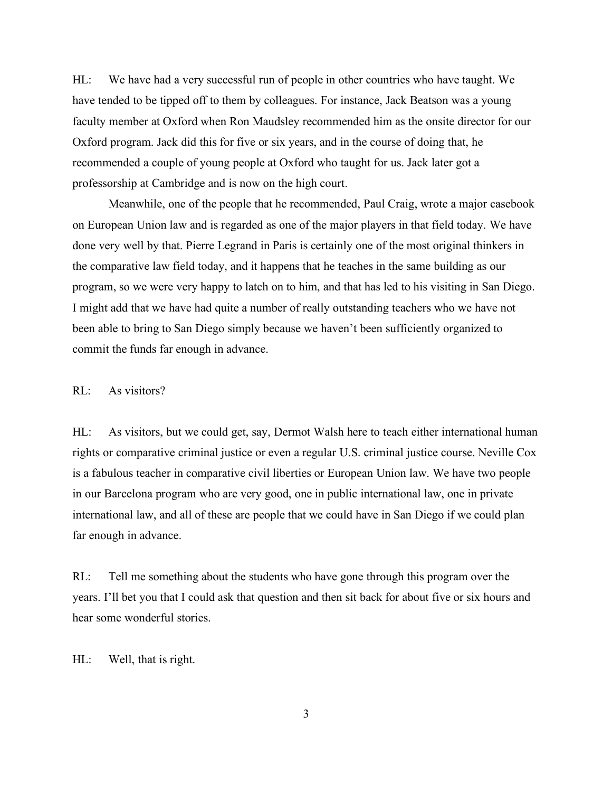HL: We have had a very successful run of people in other countries who have taught. We have tended to be tipped off to them by colleagues. For instance, Jack Beatson was a young faculty member at Oxford when Ron Maudsley recommended him as the onsite director for our Oxford program. Jack did this for five or six years, and in the course of doing that, he recommended a couple of young people at Oxford who taught for us. Jack later got a professorship at Cambridge and is now on the high court.

Meanwhile, one of the people that he recommended, Paul Craig, wrote a major casebook on European Union law and is regarded as one of the major players in that field today. We have done very well by that. Pierre Legrand in Paris is certainly one of the most original thinkers in the comparative law field today, and it happens that he teaches in the same building as our program, so we were very happy to latch on to him, and that has led to his visiting in San Diego. I might add that we have had quite a number of really outstanding teachers who we have not been able to bring to San Diego simply because we haven't been sufficiently organized to commit the funds far enough in advance.

### RL: As visitors?

HL: As visitors, but we could get, say, Dermot Walsh here to teach either international human rights or comparative criminal justice or even a regular U.S. criminal justice course. Neville Cox is a fabulous teacher in comparative civil liberties or European Union law. We have two people in our Barcelona program who are very good, one in public international law, one in private international law, and all of these are people that we could have in San Diego if we could plan far enough in advance.

RL: Tell me something about the students who have gone through this program over the years. I'll bet you that I could ask that question and then sit back for about five or six hours and hear some wonderful stories.

HL: Well, that is right.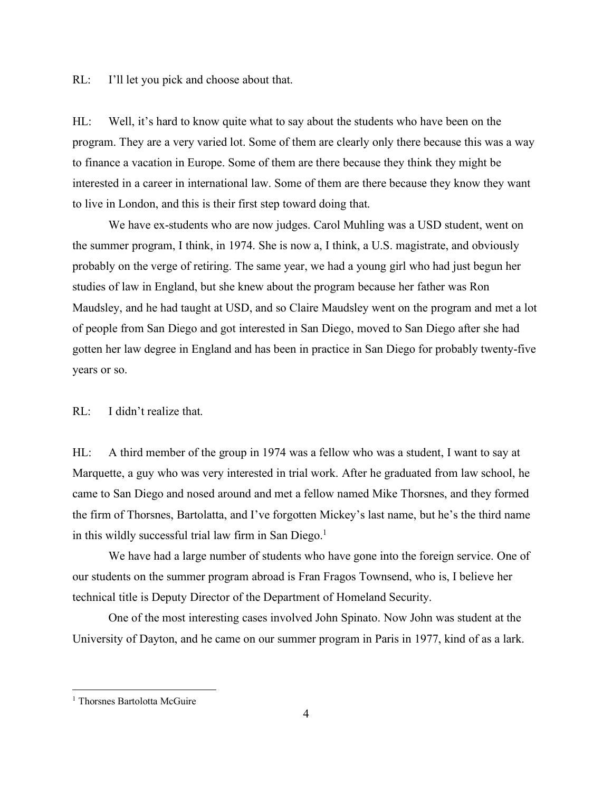RL: I'll let you pick and choose about that.

HL: Well, it's hard to know quite what to say about the students who have been on the program. They are a very varied lot. Some of them are clearly only there because this was a way to finance a vacation in Europe. Some of them are there because they think they might be interested in a career in international law. Some of them are there because they know they want to live in London, and this is their first step toward doing that.

We have ex-students who are now judges. Carol Muhling was a USD student, went on the summer program, I think, in 1974. She is now a, I think, a U.S. magistrate, and obviously probably on the verge of retiring. The same year, we had a young girl who had just begun her studies of law in England, but she knew about the program because her father was Ron Maudsley, and he had taught at USD, and so Claire Maudsley went on the program and met a lot of people from San Diego and got interested in San Diego, moved to San Diego after she had gotten her law degree in England and has been in practice in San Diego for probably twenty-five years or so.

RL: I didn't realize that.

HL: A third member of the group in 1974 was a fellow who was a student, I want to say at Marquette, a guy who was very interested in trial work. After he graduated from law school, he came to San Diego and nosed around and met a fellow named Mike Thorsnes, and they formed the firm of Thorsnes, Bartolatta, and I've forgotten Mickey's last name, but he's the third name in this wildly successful trial law firm in San Diego.<sup>1</sup>

We have had a large number of students who have gone into the foreign service. One of our students on the summer program abroad is Fran Fragos Townsend, who is, I believe her technical title is Deputy Director of the Department of Homeland Security.

One of the most interesting cases involved John Spinato. Now John was student at the University of Dayton, and he came on our summer program in Paris in 1977, kind of as a lark.

<sup>&</sup>lt;sup>1</sup> Thorsnes Bartolotta McGuire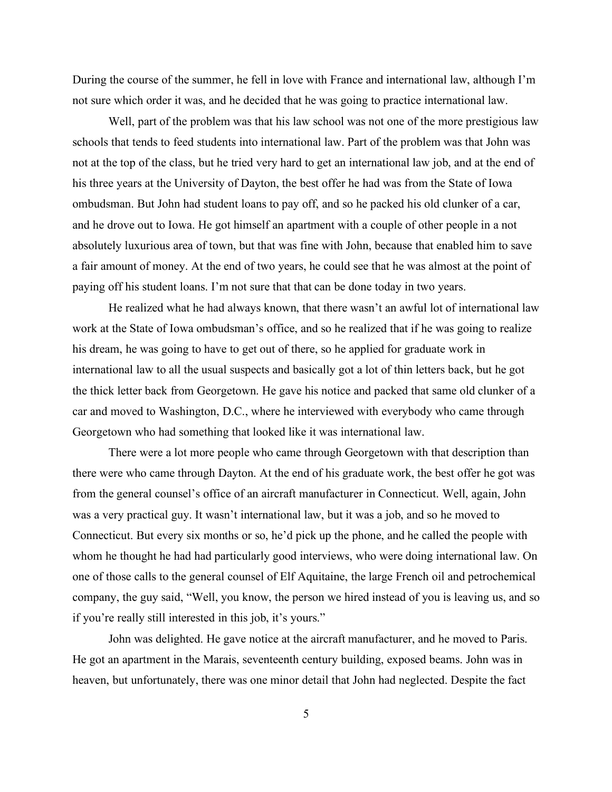During the course of the summer, he fell in love with France and international law, although I'm not sure which order it was, and he decided that he was going to practice international law.

Well, part of the problem was that his law school was not one of the more prestigious law schools that tends to feed students into international law. Part of the problem was that John was not at the top of the class, but he tried very hard to get an international law job, and at the end of his three years at the University of Dayton, the best offer he had was from the State of Iowa ombudsman. But John had student loans to pay off, and so he packed his old clunker of a car, and he drove out to Iowa. He got himself an apartment with a couple of other people in a not absolutely luxurious area of town, but that was fine with John, because that enabled him to save a fair amount of money. At the end of two years, he could see that he was almost at the point of paying off his student loans. I'm not sure that that can be done today in two years.

He realized what he had always known, that there wasn't an awful lot of international law work at the State of Iowa ombudsman's office, and so he realized that if he was going to realize his dream, he was going to have to get out of there, so he applied for graduate work in international law to all the usual suspects and basically got a lot of thin letters back, but he got the thick letter back from Georgetown. He gave his notice and packed that same old clunker of a car and moved to Washington, D.C., where he interviewed with everybody who came through Georgetown who had something that looked like it was international law.

There were a lot more people who came through Georgetown with that description than there were who came through Dayton. At the end of his graduate work, the best offer he got was from the general counsel's office of an aircraft manufacturer in Connecticut. Well, again, John was a very practical guy. It wasn't international law, but it was a job, and so he moved to Connecticut. But every six months or so, he'd pick up the phone, and he called the people with whom he thought he had had particularly good interviews, who were doing international law. On one of those calls to the general counsel of Elf Aquitaine, the large French oil and petrochemical company, the guy said, "Well, you know, the person we hired instead of you is leaving us, and so if you're really still interested in this job, it's yours."

John was delighted. He gave notice at the aircraft manufacturer, and he moved to Paris. He got an apartment in the Marais, seventeenth century building, exposed beams. John was in heaven, but unfortunately, there was one minor detail that John had neglected. Despite the fact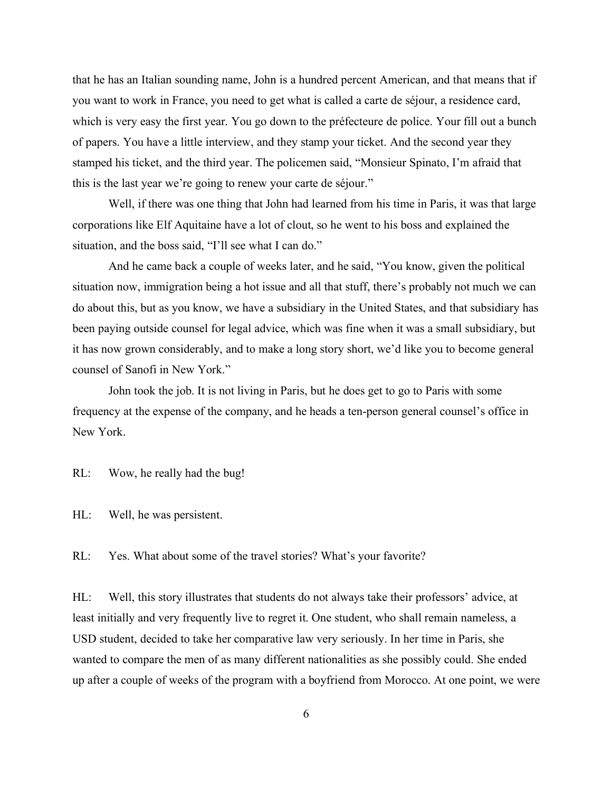that he has an Italian sounding name, John is a hundred percent American, and that means that if you want to work in France, you need to get what is called a carte de séjour, a residence card, which is very easy the first year. You go down to the préfecteure de police. Your fill out a bunch of papers. You have a little interview, and they stamp your ticket. And the second year they stamped his ticket, and the third year. The policemen said, "Monsieur Spinato, I'm afraid that this is the last year we're going to renew your carte de séjour."

Well, if there was one thing that John had learned from his time in Paris, it was that large corporations like Elf Aquitaine have a lot of clout, so he went to his boss and explained the situation, and the boss said, "I'll see what I can do."

And he came back a couple of weeks later, and he said, "You know, given the political situation now, immigration being a hot issue and all that stuff, there's probably not much we can do about this, but as you know, we have a subsidiary in the United States, and that subsidiary has been paying outside counsel for legal advice, which was fine when it was a small subsidiary, but it has now grown considerably, and to make a long story short, we'd like you to become general counsel of Sanofi in New York."

John took the job. It is not living in Paris, but he does get to go to Paris with some frequency at the expense of the company, and he heads a ten-person general counsel's office in New York.

RL: Wow, he really had the bug!

HL: Well, he was persistent.

RL: Yes. What about some of the travel stories? What's your favorite?

HL: Well, this story illustrates that students do not always take their professors' advice, at least initially and very frequently live to regret it. One student, who shall remain nameless, a USD student, decided to take her comparative law very seriously. In her time in Paris, she wanted to compare the men of as many different nationalities as she possibly could. She ended up after a couple of weeks of the program with a boyfriend from Morocco. At one point, we were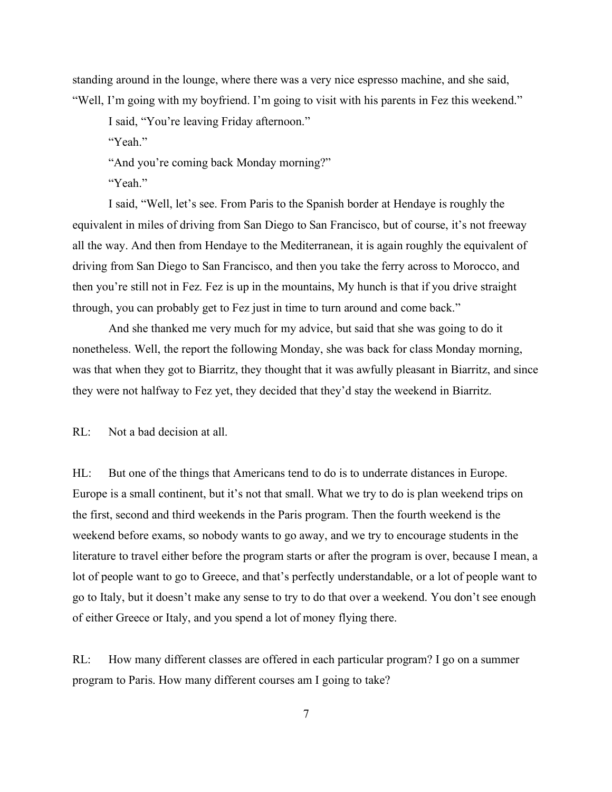standing around in the lounge, where there was a very nice espresso machine, and she said, "Well, I'm going with my boyfriend. I'm going to visit with his parents in Fez this weekend."

I said, "You're leaving Friday afternoon."

"Yeah."

"And you're coming back Monday morning?"

"Yeah"

I said, "Well, let's see. From Paris to the Spanish border at Hendaye is roughly the equivalent in miles of driving from San Diego to San Francisco, but of course, it's not freeway all the way. And then from Hendaye to the Mediterranean, it is again roughly the equivalent of driving from San Diego to San Francisco, and then you take the ferry across to Morocco, and then you're still not in Fez. Fez is up in the mountains, My hunch is that if you drive straight through, you can probably get to Fez just in time to turn around and come back."

And she thanked me very much for my advice, but said that she was going to do it nonetheless. Well, the report the following Monday, she was back for class Monday morning, was that when they got to Biarritz, they thought that it was awfully pleasant in Biarritz, and since they were not halfway to Fez yet, they decided that they'd stay the weekend in Biarritz.

RL: Not a bad decision at all.

HL: But one of the things that Americans tend to do is to underrate distances in Europe. Europe is a small continent, but it's not that small. What we try to do is plan weekend trips on the first, second and third weekends in the Paris program. Then the fourth weekend is the weekend before exams, so nobody wants to go away, and we try to encourage students in the literature to travel either before the program starts or after the program is over, because I mean, a lot of people want to go to Greece, and that's perfectly understandable, or a lot of people want to go to Italy, but it doesn't make any sense to try to do that over a weekend. You don't see enough of either Greece or Italy, and you spend a lot of money flying there.

RL: How many different classes are offered in each particular program? I go on a summer program to Paris. How many different courses am I going to take?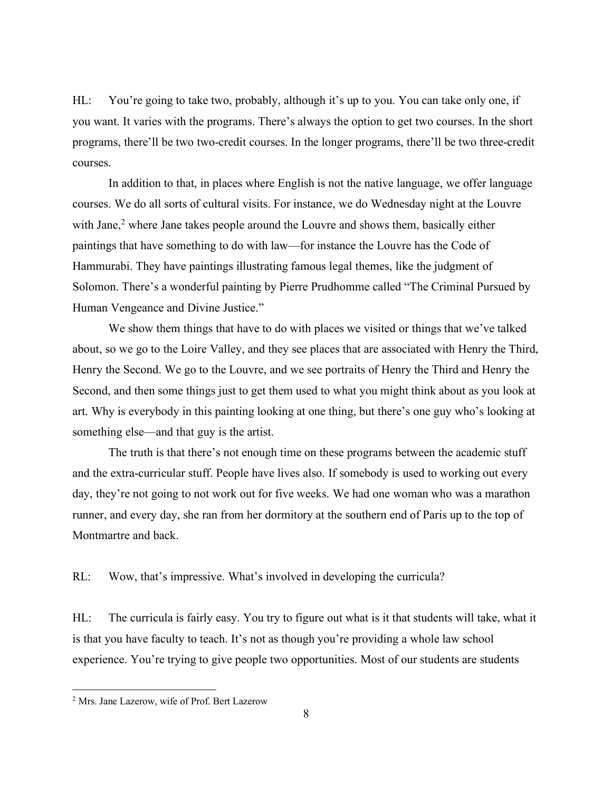HL: You're going to take two, probably, although it's up to you. You can take only one, if you want. It varies with the programs. There's always the option to get two courses. In the short programs, there'll be two two-credit courses. In the longer programs, there'll be two three-credit courses.

In addition to that, in places where English is not the native language, we offer language courses. We do all sorts of cultural visits. For instance, we do Wednesday night at the Louvre with Jane, $<sup>2</sup>$  where Jane takes people around the Louvre and shows them, basically either</sup> paintings that have something to do with law—for instance the Louvre has the Code of Hammurabi. They have paintings illustrating famous legal themes, like the judgment of Solomon. There's a wonderful painting by Pierre Prudhomme called "The Criminal Pursued by Human Vengeance and Divine Justice."

We show them things that have to do with places we visited or things that we've talked about, so we go to the Loire Valley, and they see places that are associated with Henry the Third, Henry the Second. We go to the Louvre, and we see portraits of Henry the Third and Henry the Second, and then some things just to get them used to what you might think about as you look at art. Why is everybody in this painting looking at one thing, but there's one guy who's looking at something else—and that guy is the artist.

The truth is that there's not enough time on these programs between the academic stuff and the extra-curricular stuff. People have lives also. If somebody is used to working out every day, they're not going to not work out for five weeks. We had one woman who was a marathon runner, and every day, she ran from her dormitory at the southern end of Paris up to the top of Montmartre and back.

RL: Wow, that's impressive. What's involved in developing the curricula?

HL: The curricula is fairly easy. You try to figure out what is it that students will take, what it is that you have faculty to teach. It's not as though you're providing a whole law school experience. You're trying to give people two opportunities. Most of our students are students

 <sup>2</sup> Mrs. Jane Lazerow, wife of Prof. Bert Lazerow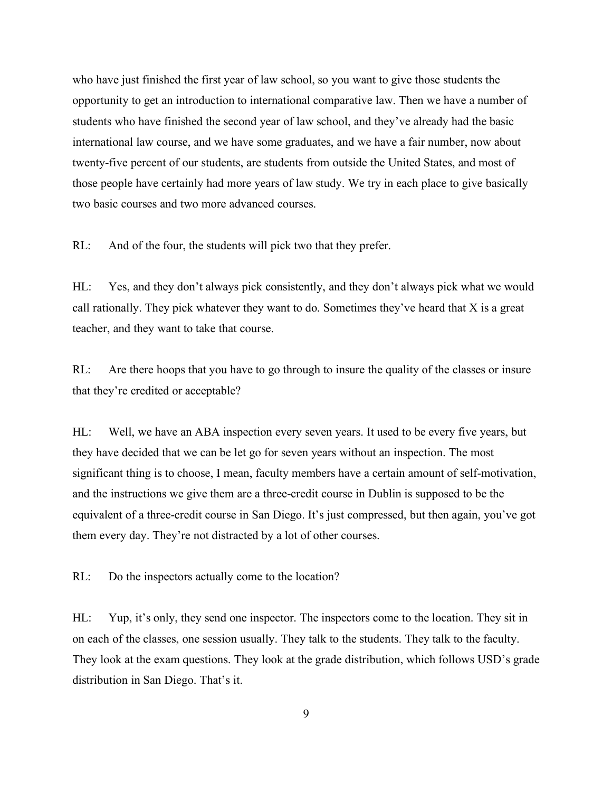who have just finished the first year of law school, so you want to give those students the opportunity to get an introduction to international comparative law. Then we have a number of students who have finished the second year of law school, and they've already had the basic international law course, and we have some graduates, and we have a fair number, now about twenty-five percent of our students, are students from outside the United States, and most of those people have certainly had more years of law study. We try in each place to give basically two basic courses and two more advanced courses.

RL: And of the four, the students will pick two that they prefer.

HL: Yes, and they don't always pick consistently, and they don't always pick what we would call rationally. They pick whatever they want to do. Sometimes they've heard that X is a great teacher, and they want to take that course.

RL: Are there hoops that you have to go through to insure the quality of the classes or insure that they're credited or acceptable?

HL: Well, we have an ABA inspection every seven years. It used to be every five years, but they have decided that we can be let go for seven years without an inspection. The most significant thing is to choose, I mean, faculty members have a certain amount of self-motivation, and the instructions we give them are a three-credit course in Dublin is supposed to be the equivalent of a three-credit course in San Diego. It's just compressed, but then again, you've got them every day. They're not distracted by a lot of other courses.

RL: Do the inspectors actually come to the location?

HL: Yup, it's only, they send one inspector. The inspectors come to the location. They sit in on each of the classes, one session usually. They talk to the students. They talk to the faculty. They look at the exam questions. They look at the grade distribution, which follows USD's grade distribution in San Diego. That's it.